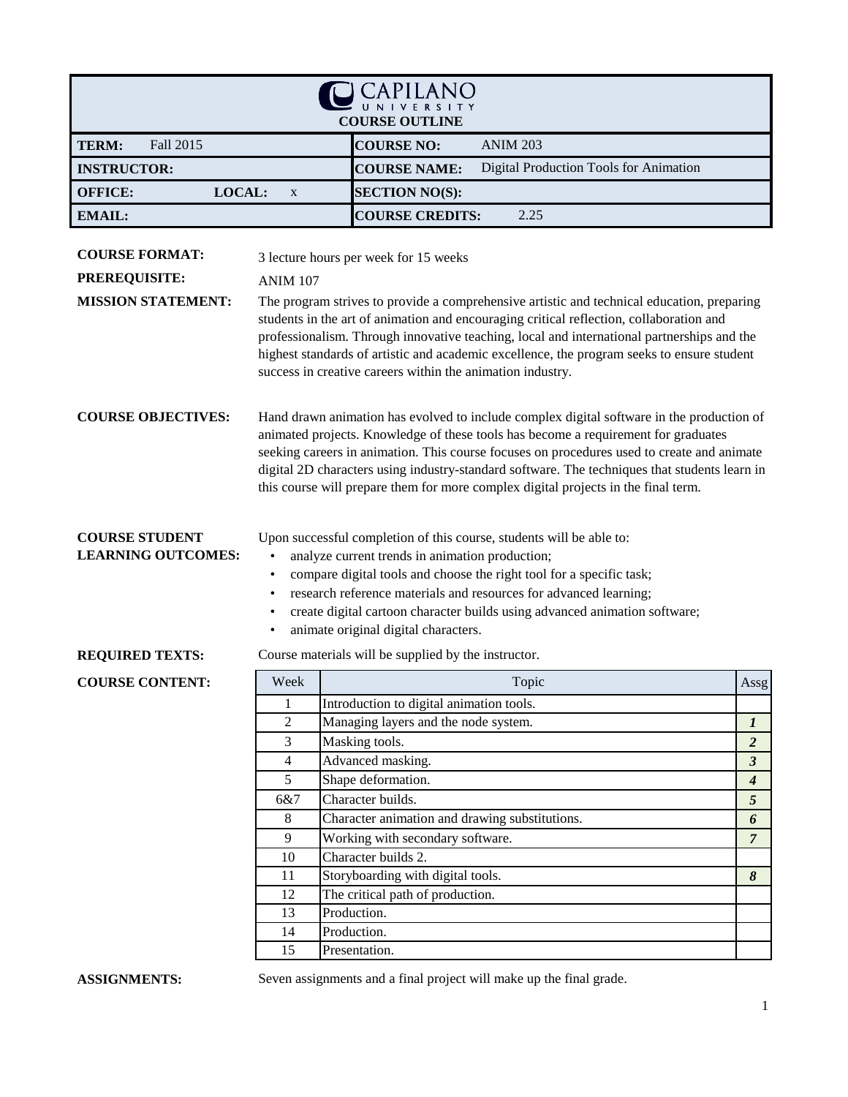| CAPILANO                                                          |                                                                                                                                                                                                                                                                                                                                                                                                                   |                                                                                                                                                                                                                                                                                                                                                                                                                                                                      |                     |  |
|-------------------------------------------------------------------|-------------------------------------------------------------------------------------------------------------------------------------------------------------------------------------------------------------------------------------------------------------------------------------------------------------------------------------------------------------------------------------------------------------------|----------------------------------------------------------------------------------------------------------------------------------------------------------------------------------------------------------------------------------------------------------------------------------------------------------------------------------------------------------------------------------------------------------------------------------------------------------------------|---------------------|--|
| <b>COURSE OUTLINE</b>                                             |                                                                                                                                                                                                                                                                                                                                                                                                                   |                                                                                                                                                                                                                                                                                                                                                                                                                                                                      |                     |  |
| <b>COURSE NO:</b><br>Fall 2015<br><b>ANIM 203</b><br><b>TERM:</b> |                                                                                                                                                                                                                                                                                                                                                                                                                   |                                                                                                                                                                                                                                                                                                                                                                                                                                                                      |                     |  |
| <b>INSTRUCTOR:</b>                                                |                                                                                                                                                                                                                                                                                                                                                                                                                   | <b>COURSE NAME:</b><br>Digital Production Tools for Animation                                                                                                                                                                                                                                                                                                                                                                                                        |                     |  |
| LOCAL:<br><b>OFFICE:</b>                                          | X                                                                                                                                                                                                                                                                                                                                                                                                                 | <b>SECTION NO(S):</b>                                                                                                                                                                                                                                                                                                                                                                                                                                                |                     |  |
| <b>EMAIL:</b>                                                     |                                                                                                                                                                                                                                                                                                                                                                                                                   | <b>COURSE CREDITS:</b><br>2.25                                                                                                                                                                                                                                                                                                                                                                                                                                       |                     |  |
|                                                                   |                                                                                                                                                                                                                                                                                                                                                                                                                   |                                                                                                                                                                                                                                                                                                                                                                                                                                                                      |                     |  |
| <b>COURSE FORMAT:</b>                                             |                                                                                                                                                                                                                                                                                                                                                                                                                   | 3 lecture hours per week for 15 weeks                                                                                                                                                                                                                                                                                                                                                                                                                                |                     |  |
| <b>PREREQUISITE:</b>                                              | <b>ANIM 107</b>                                                                                                                                                                                                                                                                                                                                                                                                   |                                                                                                                                                                                                                                                                                                                                                                                                                                                                      |                     |  |
| <b>MISSION STATEMENT:</b>                                         |                                                                                                                                                                                                                                                                                                                                                                                                                   | The program strives to provide a comprehensive artistic and technical education, preparing<br>students in the art of animation and encouraging critical reflection, collaboration and<br>professionalism. Through innovative teaching, local and international partnerships and the                                                                                                                                                                                  |                     |  |
|                                                                   |                                                                                                                                                                                                                                                                                                                                                                                                                   | highest standards of artistic and academic excellence, the program seeks to ensure student<br>success in creative careers within the animation industry.                                                                                                                                                                                                                                                                                                             |                     |  |
| <b>COURSE OBJECTIVES:</b>                                         |                                                                                                                                                                                                                                                                                                                                                                                                                   | Hand drawn animation has evolved to include complex digital software in the production of<br>animated projects. Knowledge of these tools has become a requirement for graduates<br>seeking careers in animation. This course focuses on procedures used to create and animate<br>digital 2D characters using industry-standard software. The techniques that students learn in<br>this course will prepare them for more complex digital projects in the final term. |                     |  |
| <b>COURSE STUDENT</b><br><b>LEARNING OUTCOMES:</b>                | Upon successful completion of this course, students will be able to:<br>analyze current trends in animation production;<br>compare digital tools and choose the right tool for a specific task;<br>٠<br>research reference materials and resources for advanced learning;<br>$\bullet$<br>create digital cartoon character builds using advanced animation software;<br>٠<br>animate original digital characters. |                                                                                                                                                                                                                                                                                                                                                                                                                                                                      |                     |  |
| <b>REQUIRED TEXTS:</b>                                            |                                                                                                                                                                                                                                                                                                                                                                                                                   | Course materials will be supplied by the instructor.                                                                                                                                                                                                                                                                                                                                                                                                                 |                     |  |
| <b>COURSE CONTENT:</b>                                            | Week                                                                                                                                                                                                                                                                                                                                                                                                              | Topic                                                                                                                                                                                                                                                                                                                                                                                                                                                                | Assg                |  |
|                                                                   | 1                                                                                                                                                                                                                                                                                                                                                                                                                 | Introduction to digital animation tools.                                                                                                                                                                                                                                                                                                                                                                                                                             |                     |  |
|                                                                   | $\overline{2}$                                                                                                                                                                                                                                                                                                                                                                                                    | Managing layers and the node system.                                                                                                                                                                                                                                                                                                                                                                                                                                 | $\boldsymbol{l}$    |  |
|                                                                   | $\mathfrak{Z}$                                                                                                                                                                                                                                                                                                                                                                                                    | Masking tools.                                                                                                                                                                                                                                                                                                                                                                                                                                                       | $\overline{2}$      |  |
|                                                                   | $\overline{4}$                                                                                                                                                                                                                                                                                                                                                                                                    | Advanced masking.                                                                                                                                                                                                                                                                                                                                                                                                                                                    | $\mathfrak{z}$      |  |
|                                                                   | 5                                                                                                                                                                                                                                                                                                                                                                                                                 | Shape deformation.                                                                                                                                                                                                                                                                                                                                                                                                                                                   | $\boldsymbol{4}$    |  |
|                                                                   | 6&7                                                                                                                                                                                                                                                                                                                                                                                                               | Character builds.                                                                                                                                                                                                                                                                                                                                                                                                                                                    | 5                   |  |
|                                                                   | 8<br>9                                                                                                                                                                                                                                                                                                                                                                                                            | Character animation and drawing substitutions.<br>Working with secondary software.                                                                                                                                                                                                                                                                                                                                                                                   | 6<br>$\overline{7}$ |  |
|                                                                   | 10                                                                                                                                                                                                                                                                                                                                                                                                                | Character builds 2.                                                                                                                                                                                                                                                                                                                                                                                                                                                  |                     |  |
|                                                                   | 11                                                                                                                                                                                                                                                                                                                                                                                                                | Storyboarding with digital tools.                                                                                                                                                                                                                                                                                                                                                                                                                                    | 8                   |  |
|                                                                   | 12                                                                                                                                                                                                                                                                                                                                                                                                                | The critical path of production.                                                                                                                                                                                                                                                                                                                                                                                                                                     |                     |  |
|                                                                   | 13                                                                                                                                                                                                                                                                                                                                                                                                                | Production.                                                                                                                                                                                                                                                                                                                                                                                                                                                          |                     |  |
|                                                                   | 14                                                                                                                                                                                                                                                                                                                                                                                                                | Production.                                                                                                                                                                                                                                                                                                                                                                                                                                                          |                     |  |
|                                                                   | 15                                                                                                                                                                                                                                                                                                                                                                                                                | Presentation.                                                                                                                                                                                                                                                                                                                                                                                                                                                        |                     |  |

## **ASSIGNMENTS:**

Seven assignments and a final project will make up the final grade.